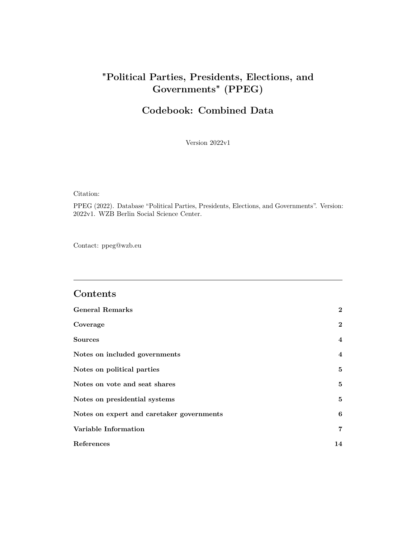## **"Political Parties, Presidents, Elections, and Governments" (PPEG)**

## **Codebook: Combined Data**

Version 2022v1

Citation:

PPEG (2022). Database "Political Parties, Presidents, Elections, and Governments". Version: 2022v1. WZB Berlin Social Science Center.

Contact:<ppeg@wzb.eu>

### **Contents**

| <b>General Remarks</b>                    | $\mathbf{2}$   |
|-------------------------------------------|----------------|
| Coverage                                  | $\overline{2}$ |
| <b>Sources</b>                            | $\overline{4}$ |
| Notes on included governments             | $\overline{4}$ |
| Notes on political parties                | 5.             |
| Notes on vote and seat shares             | 5              |
| Notes on presidential systems             | 5              |
| Notes on expert and caretaker governments | 6              |
| Variable Information                      | $\overline{7}$ |
| References                                | 14             |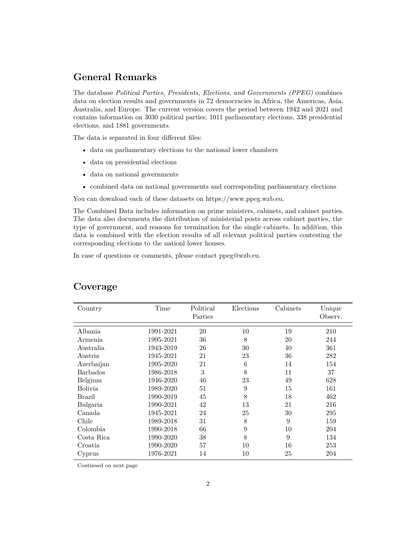### <span id="page-1-0"></span>**General Remarks**

The database *Political Parties, Presidents, Elections, and Governments (PPEG)* combines data on election results and governments in 72 democracies in Africa, the Americas, Asia, Australia, and Europe. The current version covers the period between 1942 and 2021 and contains information on 3030 political parties, 1011 parliamentary elections, 338 presidential elections, and 1881 governments.

The data is separated in four different files:

- data on parliamentary elections to the national lower chambers
- data on presidential elections
- data on national governments
- combined data on national governments and corresponding parliamentary elections

You can download each of these datasets on [https://www.ppeg.wzb.eu.](https://www.ppeg.wzb.eu)

The Combined Data includes information on prime ministers, cabinets, and cabinet parties. The data also documents the distribution of ministerial posts across cabinet parties, the type of government, and reasons for termination for the single cabinets. In addition, this data is combined with the election results of all relevant political parties contesting the corresponding elections to the nationl lower houses.

In case of questions or comments, please contact [ppeg@wzb.eu.](ppeg@wzb.eu)

| Country         | Time      | Political<br>Parties | Elections | Cabinets | Unique<br>Observ. |
|-----------------|-----------|----------------------|-----------|----------|-------------------|
| Albania         | 1991-2021 | 20                   | 10        | 19       | 210               |
| Armenia         | 1995-2021 | 36                   | 8         | 20       | 244               |
| Australia       | 1943-2019 | 26                   | 30        | 40       | 361               |
| Austria         | 1945-2021 | 21                   | 23        | 36       | 282               |
| Azerbaijan      | 1995-2020 | 21                   | 6         | 14       | 154               |
| <b>Barbados</b> | 1986-2018 | 3                    | 8         | 11       | 37                |
|                 | 1946-2020 | 46                   | 23        | 49       | 628               |
| Belgium         |           |                      |           |          |                   |
| <b>Bolivia</b>  | 1989-2020 | 51                   | 9         | 15       | 161               |
| Brazil          | 1990-2019 | 45                   | 8         | 18       | 462               |
| Bulgaria        | 1990-2021 | 42                   | 13        | 21       | 216               |
| Canada          | 1945-2021 | 24                   | 25        | 30       | 295               |
| Chile           | 1989-2018 | 31                   | 8         | 9        | 159               |
| Colombia        | 1990-2018 | 66                   | 9         | 10       | 204               |
| Costa Rica      | 1990-2020 | 38                   | 8         | 9        | 134               |
| Croatia         | 1990-2020 | 57                   | 10        | 16       | 253               |
| Cyprus          | 1976-2021 | 14                   | 10        | 25       | 204               |

### <span id="page-1-1"></span>**Coverage**

Continued on next page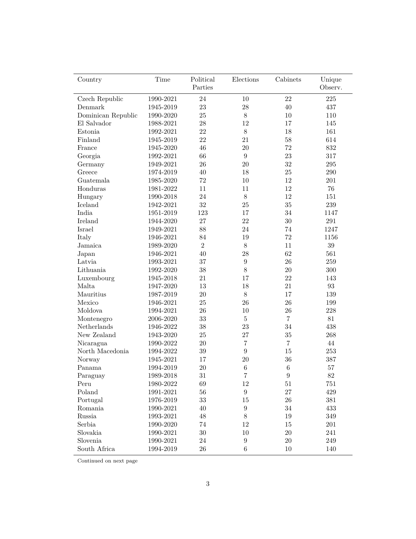| Country                               | Time                | Political      | Elections        | Cabinets       | Unique            |
|---------------------------------------|---------------------|----------------|------------------|----------------|-------------------|
|                                       |                     | Parties        |                  |                | Observ.           |
| Czech Republic                        | 1990-2021           | 24             | 10               | 22             | $225\,$           |
| Denmark                               | 1945-2019           | $23\,$         | 28               | 40             | 437               |
| Dominican Republic                    | 1990-2020           | 25             | $8\,$            | 10             | 110               |
| El Salvador                           | 1988-2021           | 28             | 12               | 17             | 145               |
| Estonia                               | 1992-2021           | 22             | $8\,$            | 18             | 161               |
| Finland                               | 1945-2019           | 22             | 21               | 58             | 614               |
| France                                | 1945-2020           | 46             | 20               | 72             | 832               |
| Georgia                               | 1992-2021           | 66             | 9                | 23             | 317               |
| Germany                               | 1949-2021           | 26             | 20               | 32             | $\,295$           |
| Greece                                | 1974-2019           | 40             | 18               | 25             | $\,290$           |
| Guatemala                             | 1985-2020           | 72             | $10\,$           | 12             | 201               |
| Honduras                              | 1981-2022           | 11             | 11               | 12             | $76\,$            |
| Hungary                               | 1990-2018           | 24             | $8\,$            | 12             | 151               |
| Iceland                               | 1942-2021           | 32             | 25               | 35             | 239               |
| India                                 | 1951-2019           | 123            | 17               | 34             | 1147              |
| Ireland                               | 1944-2020           | $27\,$         | 22               | 30             | $\,291$           |
| Israel                                | 1949-2021           | 88             | 24               | 74             | 1247              |
| Italy                                 | 1946-2021           | 84             | 19               | 72             | 1156              |
| Jamaica                               | 1989-2020           | $\overline{2}$ | $8\,$            | 11             | $39\,$            |
| Japan                                 | 1946-2021           | 40             | 28               | 62             | 561               |
| Latvia                                | 1993-2021           | 37             | $\boldsymbol{9}$ | 26             | 259               |
| Lithuania                             | 1992-2020           | 38             | 8                | 20             | 300               |
| Luxembourg                            | 1945-2018           | 21             | 17               | 22             | 143               |
| Malta                                 | 1947-2020           | 13             | 18               | 21             | $\boldsymbol{93}$ |
| Mauritius                             | 1987-2019           | 20             | 8                | 17             | 139               |
| Mexico                                | 1946-2021           | 25             | 26               | 26             | 199               |
| Moldova                               | 1994-2021           | 26             | 10               | 26             | 228               |
| Montenegro                            | 2006-2020           | 33             | $\bf 5$          | $\overline{7}$ | 81                |
| $\label{thm:relands}$ Nether<br>lands | 1946-2022           | 38             | 23               | 34             | 438               |
| New Zealand                           | 1943-2020           | 25             | 27               | 35             | 268               |
| Nicaragua                             | 1990-2022           | $20\,$         | $\overline{7}$   | $\overline{7}$ | $44\,$            |
| North Macedonia                       | 1994-2022           | $39\,$         | $\boldsymbol{9}$ | 15             | 253               |
| Norway                                | 1945-2021           | 17             | 20               | 36             | 387               |
| Panama                                | 1994-2019           | 20             | $\,$ 6 $\,$      | $\,6$          | 57                |
| Paraguay                              | 1989-2018           | 31             | $\overline{7}$   | 9              | 82                |
| Peru                                  | 1980-2022           | 69             | $12\,$           | 51             | 751               |
| Poland                                | 1991-2021           | 56             | $\boldsymbol{9}$ | 27             | $429\,$           |
| Portugal                              | 1976-2019           | 33             | 15               | $26\,$         | $381\,$           |
| Romania                               | $1990\hbox{-} 2021$ | 40             | $\boldsymbol{9}$ | $34\,$         | 433               |
| Russia                                | 1993-2021           | 48             | $8\,$            | $19\,$         | $349\,$           |
| Serbia                                | 1990-2020           | $74\,$         | $12\,$           | $15\,$         | 201               |
| Slovakia                              | 1990-2021           | $30\,$         | $10\,$           | $20\,$         | 241               |
| Slovenia                              | 1990-2021           | 24             | $\boldsymbol{9}$ | $20\,$         | 249               |
| South Africa                          | 1994-2019           | $26\,$         | $\,6\,$          | $10\,$         | 140               |

Continued on next page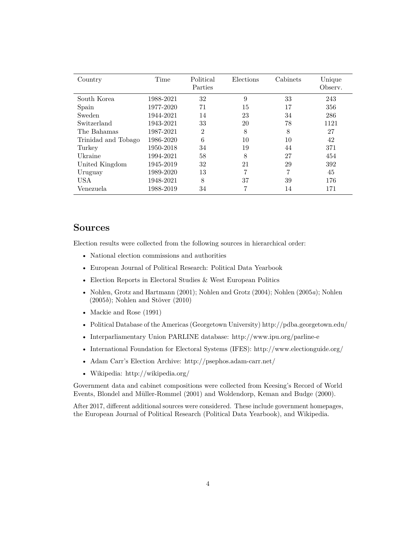| Country             | Time      | Political<br>Parties | Elections | Cabinets | Unique<br>Observ. |
|---------------------|-----------|----------------------|-----------|----------|-------------------|
| South Korea         | 1988-2021 | 32                   | 9         | 33       | 243               |
| Spain               | 1977-2020 | 71                   | 15        | 17       | 356               |
| Sweden              | 1944-2021 | 14                   | 23        | 34       | 286               |
| Switzerland         | 1943-2021 | 33                   | 20        | 78       | 1121              |
| The Bahamas         | 1987-2021 | $\overline{2}$       | 8         | 8        | 27                |
| Trinidad and Tobago | 1986-2020 | 6                    | 10        | 10       | 42                |
| Turkey              | 1950-2018 | 34                   | 19        | 44       | 371               |
| Ukraine             | 1994-2021 | 58                   | 8         | 27       | 454               |
| United Kingdom      | 1945-2019 | 32                   | 21        | 29       | 392               |
| Uruguay             | 1989-2020 | 13                   | 7         | 7        | 45                |
| <b>USA</b>          | 1948-2021 | 8                    | 37        | 39       | 176               |
| Venezuela           | 1988-2019 | 34                   | 7         | 14       | 171               |

#### <span id="page-3-0"></span>**Sources**

Election results were collected from the following sources in hierarchical order:

- National election commissions and authorities
- European Journal of Political Research: Political Data Yearbook
- Election Reports in Electoral Studies & West European Politics
- [Nohlen, Grotz and Hartmann](#page-13-0) [\(2001\)](#page-13-0); [Nohlen and Grotz](#page-13-1) [\(2004\)](#page-13-1); [Nohlen](#page-13-2) [\(2005](#page-13-2)*a*); [Nohlen](#page-13-3) [\(2005](#page-13-3)*b*); [Nohlen and Stöver](#page-13-4) [\(2010\)](#page-13-4)
- [Mackie and Rose](#page-13-5) [\(1991\)](#page-13-5)
- Political Database of the Americas (Georgetown University)<http://pdba.georgetown.edu/>
- Interparliamentary Union PARLINE database:<http://www.ipu.org/parline-e>
- International Foundation for Electoral Systems (IFES):<http://www.electionguide.org/>
- Adam Carr's Election Archive:<http://psephos.adam-carr.net/>
- Wikipedia:<http://wikipedia.org/>

Government data and cabinet compositions were collected from Keesing's Record of World Events, [Blondel and Müller-Rommel](#page-13-6) [\(2001\)](#page-13-6) and [Woldendorp, Keman and Budge](#page-13-7) [\(2000\)](#page-13-7).

After 2017, different additional sources were considered. These include government homepages, the European Journal of Political Research (Political Data Yearbook), and Wikipedia.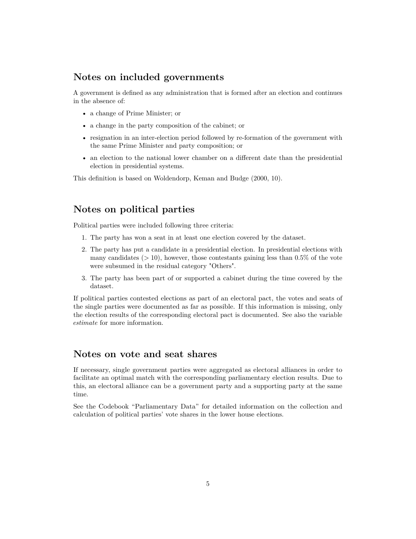#### <span id="page-4-0"></span>**Notes on included governments**

A government is defined as any administration that is formed after an election and continues in the absence of:

- a change of Prime Minister; or
- a change in the party composition of the cabinet; or
- resignation in an inter-election period followed by re-formation of the government with the same Prime Minister and party composition; or
- an election to the national lower chamber on a different date than the presidential election in presidential systems.

This definition is based on [Woldendorp, Keman and Budge](#page-13-7) [\(2000,](#page-13-7) 10).

#### <span id="page-4-1"></span>**Notes on political parties**

Political parties were included following three criteria:

- 1. The party has won a seat in at least one election covered by the dataset.
- 2. The party has put a candidate in a presidential election. In presidential elections with many candidates (*>* 10), however, those contestants gaining less than 0.5% of the vote were subsumed in the residual category "Others".
- 3. The party has been part of or supported a cabinet during the time covered by the dataset.

If political parties contested elections as part of an electoral pact, the votes and seats of the single parties were documented as far as possible. If this information is missing, only the election results of the corresponding electoral pact is documented. See also the variable *[estimate](#page-10-0)* for more information.

#### <span id="page-4-2"></span>**Notes on vote and seat shares**

If necessary, single government parties were aggregated as electoral alliances in order to facilitate an optimal match with the corresponding parliamentary election results. Due to this, an electoral alliance can be a government party and a supporting party at the same time.

See the Codebook "Parliamentary Data" for detailed information on the collection and calculation of political parties' vote shares in the lower house elections.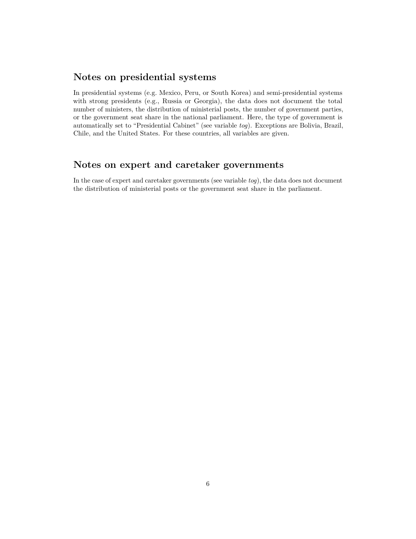### <span id="page-5-0"></span>**Notes on presidential systems**

In presidential systems (e.g. Mexico, Peru, or South Korea) and semi-presidential systems with strong presidents (e.g., Russia or Georgia), the data does not document the total number of ministers, the distribution of ministerial posts, the number of government parties, or the government seat share in the national parliament. Here, the type of government is automatically set to "Presidential Cabinet" (see variable *[tog](#page-7-0)*). Exceptions are Bolivia, Brazil, Chile, and the United States. For these countries, all variables are given.

#### <span id="page-5-1"></span>**Notes on expert and caretaker governments**

In the case of expert and caretaker governments (see variable *[tog](#page-7-0)*), the data does not document the distribution of ministerial posts or the government seat share in the parliament.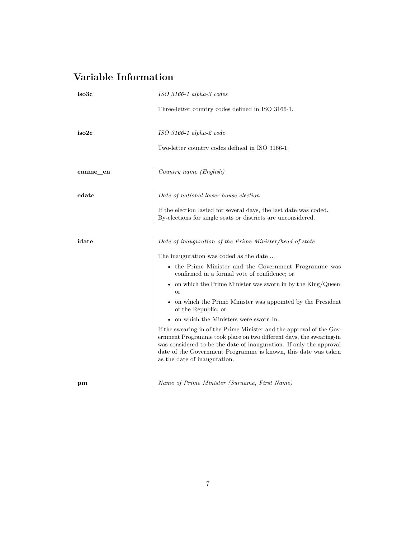# <span id="page-6-0"></span>**Variable Information**

<span id="page-6-2"></span><span id="page-6-1"></span>

| iso3c    | ISO 3166-1 alpha-3 codes                                                                                                                                                                                                                                                                                              |
|----------|-----------------------------------------------------------------------------------------------------------------------------------------------------------------------------------------------------------------------------------------------------------------------------------------------------------------------|
|          | Three-letter country codes defined in ISO 3166-1.                                                                                                                                                                                                                                                                     |
| iso2c    | ISO 3166-1 alpha-2 code                                                                                                                                                                                                                                                                                               |
|          | Two-letter country codes defined in ISO 3166-1.                                                                                                                                                                                                                                                                       |
| cname_en | Country name (English)                                                                                                                                                                                                                                                                                                |
| edate    | Date of national lower house election                                                                                                                                                                                                                                                                                 |
|          | If the election lasted for several days, the last date was coded.<br>By-elections for single seats or districts are unconsidered.                                                                                                                                                                                     |
| idate    | Date of inauguration of the Prime Minister/head of state                                                                                                                                                                                                                                                              |
|          | The inauguration was coded as the date                                                                                                                                                                                                                                                                                |
|          | • the Prime Minister and the Government Programme was<br>confirmed in a formal vote of confidence; or                                                                                                                                                                                                                 |
|          | • on which the Prime Minister was sworn in by the King/Queen;<br><sub>or</sub>                                                                                                                                                                                                                                        |
|          | • on which the Prime Minister was appointed by the President<br>of the Republic; or                                                                                                                                                                                                                                   |
|          | $\bullet~$ on which the Ministers were sworn in.                                                                                                                                                                                                                                                                      |
|          | If the swearing-in of the Prime Minister and the approval of the Gov-<br>ernment Programme took place on two different days, the swearing-in<br>was considered to be the date of inauguration. If only the approval<br>date of the Government Programme is known, this date was taken<br>as the date of inauguration. |
|          |                                                                                                                                                                                                                                                                                                                       |

**pm** *Name of Prime Minister (Surname, First Name)*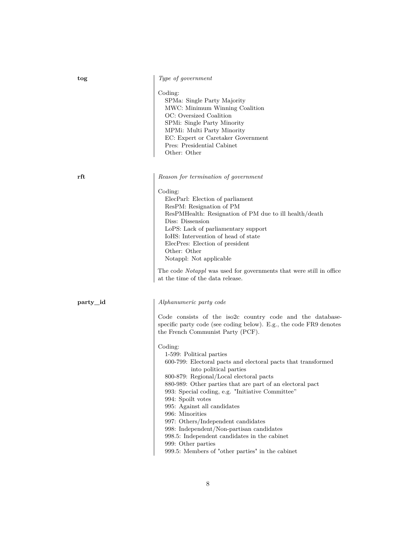<span id="page-7-0"></span>

|  | Type of government |
|--|--------------------|
|  |                    |

Coding:

SPMa: Single Party Majority MWC: Minimum Winning Coalition OC: Oversized Coalition SPMi: Single Party Minority MPMi: Multi Party Minority EC: Expert or Caretaker Government Pres: Presidential Cabinet Other: Other

**rft** *Reason for termination of government*

Coding: ElecParl: Election of parliament ResPM: Resignation of PM ResPMHealth: Resignation of PM due to ill health/death Diss: Dissension LoPS: Lack of parliamentary support IoHS: Intervention of head of state ElecPres: Election of president Other: Other Notappl: Not applicable

The code *Notappl* was used for governments that were still in office at the time of the data release.

<span id="page-7-1"></span>

#### **party\_id** *Alphanumeric party code*

Code consists of the iso2c country code and the databasespecific party code (see coding below). E.g., the code FR9 denotes the French Communist Party (PCF).

#### Coding:

1-599: Political parties 600-799: Electoral pacts and electoral pacts that transformed into political parties 800-879: Regional/Local electoral pacts 880-989: Other parties that are part of an electoral pact 993: Special coding, e.g. "Initiative Committee" 994: Spoilt votes 995: Against all candidates 996: Minorities 997: Others/Independent candidates 998: Independent/Non-partisan candidates 998.5: Independent candidates in the cabinet 999: Other parties 999.5: Members of "other parties" in the cabinet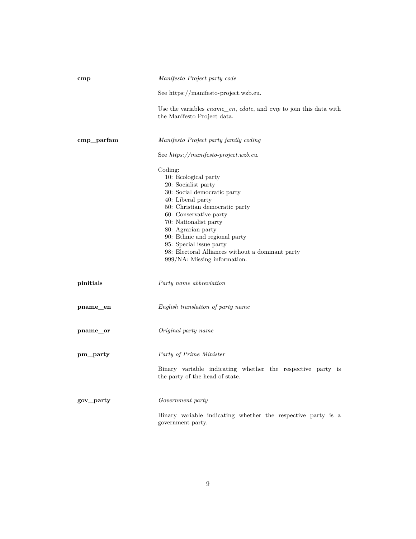<span id="page-8-0"></span>

| $_{\rm{cmp}}$ | Manifesto Project party code                                                                                                                                                                                                                                                                                                                                          |
|---------------|-----------------------------------------------------------------------------------------------------------------------------------------------------------------------------------------------------------------------------------------------------------------------------------------------------------------------------------------------------------------------|
|               | See https://manifesto-project.wzb.eu.                                                                                                                                                                                                                                                                                                                                 |
|               | Use the variables <i>cname_en</i> , <i>edate</i> , and <i>cmp</i> to join this data with<br>the Manifesto Project data.                                                                                                                                                                                                                                               |
| cmp_parfam    | Manifesto Project party family coding                                                                                                                                                                                                                                                                                                                                 |
|               | See $https://manifesto-project.wzb.eu.$                                                                                                                                                                                                                                                                                                                               |
|               | Coding:<br>10: Ecological party<br>20: Socialist party<br>30: Social democratic party<br>40: Liberal party<br>50: Christian democratic party<br>60: Conservative party<br>70: Nationalist party<br>80: Agrarian party<br>90: Ethnic and regional party<br>95: Special issue party<br>98: Electoral Alliances without a dominant party<br>999/NA: Missing information. |
| pinitials     | Party name abbreviation                                                                                                                                                                                                                                                                                                                                               |
| pname_en      | English translation of party name                                                                                                                                                                                                                                                                                                                                     |
| pname_or      | Original party name                                                                                                                                                                                                                                                                                                                                                   |
| pm_party      | Party of Prime Minister                                                                                                                                                                                                                                                                                                                                               |
|               | Binary variable indicating whether the respective party is<br>the party of the head of state.                                                                                                                                                                                                                                                                         |
| gov_party     | Government party                                                                                                                                                                                                                                                                                                                                                      |
|               | Binary variable indicating whether the respective party is a<br>government party.                                                                                                                                                                                                                                                                                     |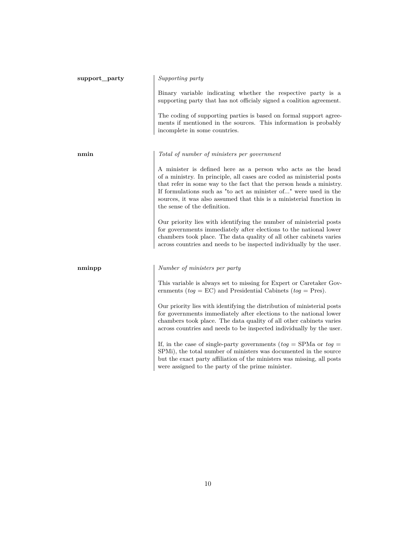| support_party | Supporting party                                                                                                                                                                                                                                                                                                                                                                        |
|---------------|-----------------------------------------------------------------------------------------------------------------------------------------------------------------------------------------------------------------------------------------------------------------------------------------------------------------------------------------------------------------------------------------|
|               | Binary variable indicating whether the respective party is a<br>supporting party that has not officialy signed a coalition agreement.                                                                                                                                                                                                                                                   |
|               | The coding of supporting parties is based on formal support agree-<br>ments if mentioned in the sources. This information is probably<br>incomplete in some countries.                                                                                                                                                                                                                  |
| nmin          | Total of number of ministers per government                                                                                                                                                                                                                                                                                                                                             |
|               | A minister is defined here as a person who acts as the head<br>of a ministry. In principle, all cases are coded as ministerial posts<br>that refer in some way to the fact that the person heads a ministry.<br>If formulations such as "to act as minister of" were used in the<br>sources, it was also assumed that this is a ministerial function in<br>the sense of the definition. |
|               | Our priority lies with identifying the number of ministerial posts<br>for governments immediately after elections to the national lower<br>chambers took place. The data quality of all other cabinets varies<br>across countries and needs to be inspected individually by the user.                                                                                                   |
| nminpp        | Number of ministers per party                                                                                                                                                                                                                                                                                                                                                           |
|               | This variable is always set to missing for Expert or Caretaker Gov-<br>ernments ( $tog = EC$ ) and Presidential Cabinets ( $tog = Pres$ ).                                                                                                                                                                                                                                              |
|               | Our priority lies with identifying the distribution of ministerial posts<br>for governments immediately after elections to the national lower<br>chambers took place. The data quality of all other cabinets varies<br>across countries and needs to be inspected individually by the user.                                                                                             |
|               | If, in the case of single-party governments ( $tog =$ SPMa or $tog =$<br>SPMi), the total number of ministers was documented in the source<br>but the exact party affiliation of the ministers was missing, all posts<br>were assigned to the party of the prime minister.                                                                                                              |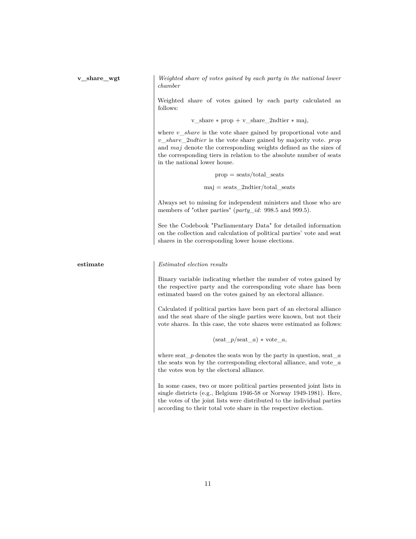**v\_share\_wgt** *Weighted share of votes gained by each party in the national lower chamber*

> Weighted share of votes gained by each party calculated as follows:

> > v\_share ∗ prop + v\_share\_2ndtier ∗ maj,

where *v share* is the vote share gained by proportional vote and *v*\_*share*\_2*ndtier* is the vote share gained by majority vote. *prop* and *maj* denote the corresponding weights defined as the sizes of the corresponding tiers in relation to the absolute number of seats in the national lower house.

> $prop = \text{seats}/\text{total}$  seats  $maj = seats$  2ndtier/total seats

Always set to missing for independent ministers and those who are members of "other parties" (*[party\\_id](#page-7-1)*: 998.5 and 999.5).

See the Codebook "Parliamentary Data" for detailed information on the collection and calculation of political parties' vote and seat shares in the corresponding lower house elections.

<span id="page-10-0"></span>

**estimate** *Estimated election results*

Binary variable indicating whether the number of votes gained by the respective party and the corresponding vote share has been estimated based on the votes gained by an electoral alliance.

Calculated if political parties have been part of an electoral alliance and the seat share of the single parties were known, but not their vote shares. In this case, the vote shares were estimated as follows:

 $(\text{seat}\ \ p/\text{seat}\ \ a) * \text{vote}\ \ a,$ 

where seat\_*p* denotes the seats won by the party in question, seat\_*a* the seats won by the corresponding electoral alliance, and vote\_*a* the votes won by the electoral alliance.

In some cases, two or more political parties presented joint lists in single districts (e.g., Belgium 1946-58 or Norway 1949-1981). Here, the votes of the joint lists were distributed to the individual parties according to their total vote share in the respective election.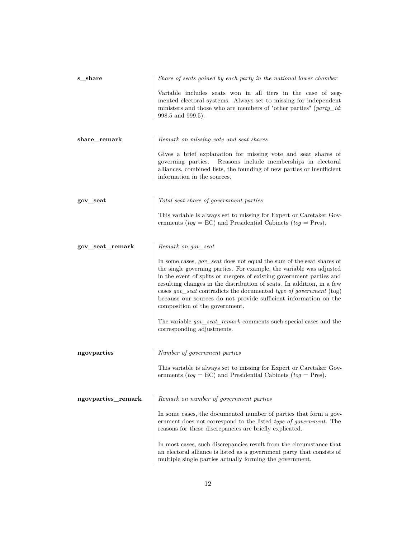<span id="page-11-0"></span>

| s_share                              | Share of seats gained by each party in the national lower chamber                                                                                                                                                                                                                                                                                                                                                                                                                |
|--------------------------------------|----------------------------------------------------------------------------------------------------------------------------------------------------------------------------------------------------------------------------------------------------------------------------------------------------------------------------------------------------------------------------------------------------------------------------------------------------------------------------------|
|                                      | Variable includes seats won in all tiers in the case of seg-<br>mented electoral systems. Always set to missing for independent<br>ministers and those who are members of "other parties" ( $party\_id$ :<br>998.5 and 999.5).                                                                                                                                                                                                                                                   |
| share_remark                         | Remark on missing vote and seat shares                                                                                                                                                                                                                                                                                                                                                                                                                                           |
|                                      | Gives a brief explanation for missing vote and seat shares of<br>governing parties. Reasons include memberships in electoral<br>alliances, combined lists, the founding of new parties or insufficient<br>information in the sources.                                                                                                                                                                                                                                            |
| gov_seat                             | Total seat share of government parties                                                                                                                                                                                                                                                                                                                                                                                                                                           |
|                                      | This variable is always set to missing for Expert or Caretaker Gov-<br>ernments ( $tog = EC$ ) and Presidential Cabinets ( $tog = Pres$ ).                                                                                                                                                                                                                                                                                                                                       |
| gov_seat_remark                      | Remark on gov seat                                                                                                                                                                                                                                                                                                                                                                                                                                                               |
|                                      | In some cases, <i>gov_seat</i> does not equal the sum of the seat shares of<br>the single governing parties. For example, the variable was adjusted<br>in the event of splits or mergers of existing government parties and<br>resulting changes in the distribution of seats. In addition, in a few<br>cases gov_seat contradicts the documented type of government (tog)<br>because our sources do not provide sufficient information on the<br>composition of the government. |
|                                      | The variable <i>gov_seat_remark</i> comments such special cases and the<br>corresponding adjustments.                                                                                                                                                                                                                                                                                                                                                                            |
| ngovparties                          | Number of government parties                                                                                                                                                                                                                                                                                                                                                                                                                                                     |
|                                      | This variable is always set to missing for Expert or Caretaker Gov-<br>ernments ( $tog = EC$ ) and Presidential Cabinets ( $tog = Pres$ ).                                                                                                                                                                                                                                                                                                                                       |
| $\operatorname{ngovparties\_remark}$ | Remark on number of government parties                                                                                                                                                                                                                                                                                                                                                                                                                                           |
|                                      | In some cases, the documented number of parties that form a gov-<br>ernment does not correspond to the listed type of government. The<br>reasons for these discrepancies are briefly explicated.                                                                                                                                                                                                                                                                                 |
|                                      | In most cases, such discrepancies result from the circumstance that<br>an electoral alliance is listed as a government party that consists of<br>multiple single parties actually forming the government.                                                                                                                                                                                                                                                                        |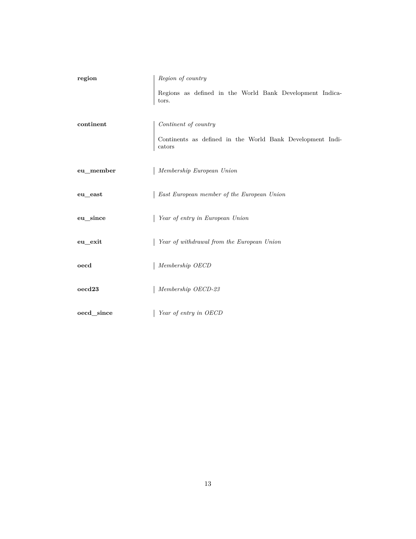<span id="page-12-0"></span>

| region       | Region of country                                                   |
|--------------|---------------------------------------------------------------------|
|              | Regions as defined in the World Bank Development Indica-<br>tors.   |
| continent    | Continent of country                                                |
|              | Continents as defined in the World Bank Development Indi-<br>cators |
| eu_member    | Membership European Union                                           |
| $eu\_east$   | East European member of the European Union                          |
| eu since     | Year of entry in European Union                                     |
| eu exit      | Year of withdrawal from the European Union                          |
| oecd         | Membership OECD                                                     |
| $o$ ecd $23$ | Membership OECD-23                                                  |
| oecd_since   | Year of entry in OECD                                               |